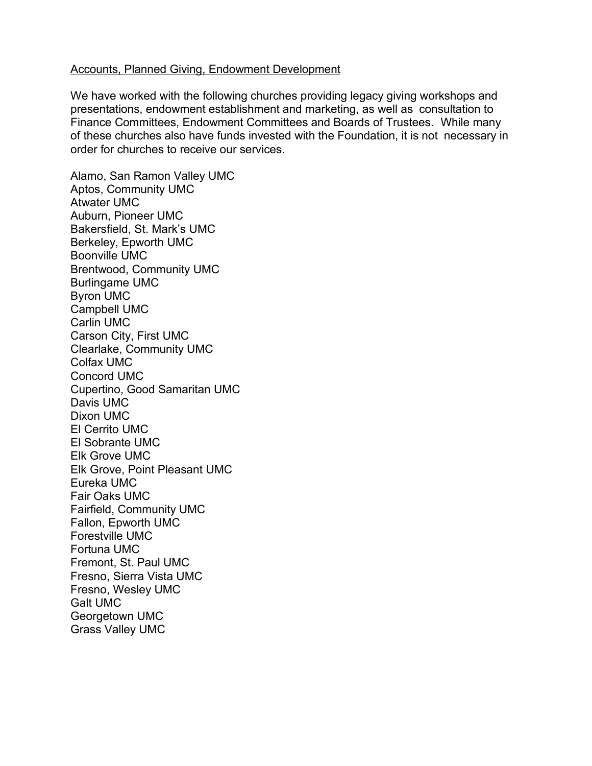## Accounts, Planned Giving, Endowment Development

We have worked with the following churches providing legacy giving workshops and presentations, endowment establishment and marketing, as well as consultation to Finance Committees, Endowment Committees and Boards of Trustees. While many of these churches also have funds invested with the Foundation, it is not necessary in order for churches to receive our services.

Alamo, San Ramon Valley UMC Aptos, Community UMC Atwater UMC Auburn, Pioneer UMC Bakersfield, St. Mark's UMC Berkeley, Epworth UMC Boonville UMC Brentwood, Community UMC Burlingame UMC Byron UMC Campbell UMC Carlin UMC Carson City, First UMC Clearlake, Community UMC Colfax UMC Concord UMC Cupertino, Good Samaritan UMC Davis UMC Dixon UMC El Cerrito UMC El Sobrante UMC Elk Grove UMC Elk Grove, Point Pleasant UMC Eureka UMC Fair Oaks UMC Fairfield, Community UMC Fallon, Epworth UMC Forestville UMC Fortuna UMC Fremont, St. Paul UMC Fresno, Sierra Vista UMC Fresno, Wesley UMC Galt UMC Georgetown UMC Grass Valley UMC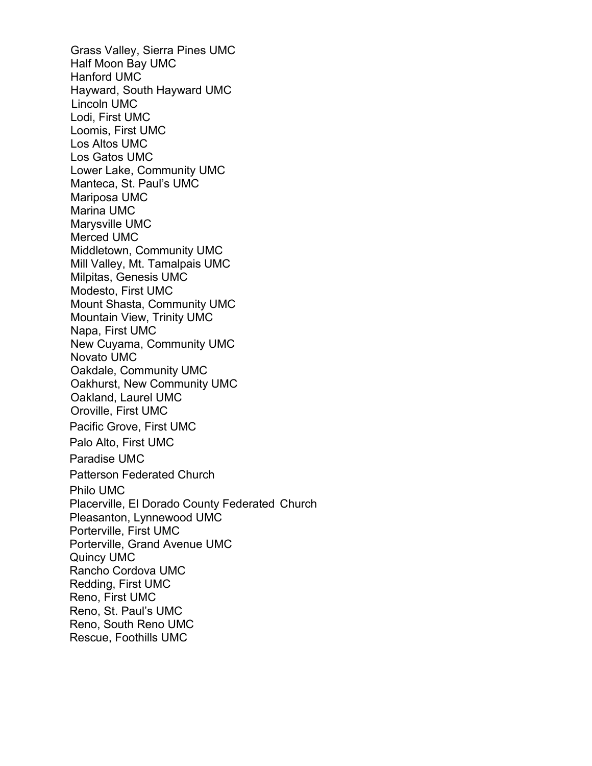Grass Valley, Sierra Pines UMC Half Moon Bay UMC Hanford UMC Hayward, South Hayward UMC Lincoln UMC Lodi, First UMC Loomis, First UMC Los Altos UMC Los Gatos UMC Lower Lake, Community UMC Manteca, St. Paul's UMC Mariposa UMC Marina UMC Marysville UMC Merced UMC Middletown, Community UMC Mill Valley, Mt. Tamalpais UMC Milpitas, Genesis UMC Modesto, First UMC Mount Shasta, Community UMC Mountain View, Trinity UMC Napa, First UMC New Cuyama, Community UMC Novato UMC Oakdale, Community UMC Oakhurst, New Community UMC Oakland, Laurel UMC Oroville, First UMC Pacific Grove, First UMC Palo Alto, First UMC Paradise UMC Patterson Federated Church Philo UMC Placerville, El Dorado County Federated Church Pleasanton, Lynnewood UMC Porterville, First UMC Porterville, Grand Avenue UMC Quincy UMC Rancho Cordova UMC Redding, First UMC Reno, First UMC Reno, St. Paul's UMC Reno, South Reno UMC Rescue, Foothills UMC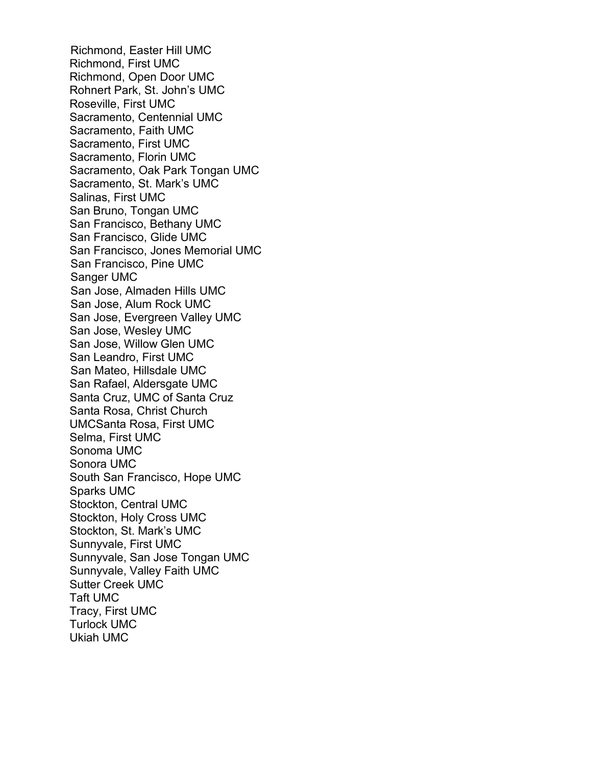Richmond, Easter Hill UMC Richmond, First UMC Richmond, Open Door UMC Rohnert Park, St. John's UMC Roseville, First UMC Sacramento, Centennial UMC Sacramento, Faith UMC Sacramento, First UMC Sacramento, Florin UMC Sacramento, Oak Park Tongan UMC Sacramento, St. Mark's UMC Salinas, First UMC San Bruno, Tongan UMC San Francisco, Bethany UMC San Francisco, Glide UMC San Francisco, Jones Memorial UMC San Francisco, Pine UMC Sanger UMC San Jose, Almaden Hills UMC San Jose, Alum Rock UMC San Jose, Evergreen Valley UMC San Jose, Wesley UMC San Jose, Willow Glen UMC San Leandro, First UMC San Mateo, Hillsdale UMC San Rafael, Aldersgate UMC Santa Cruz, UMC of Santa Cruz Santa Rosa, Christ Church UMCSanta Rosa, First UMC Selma, First UMC Sonoma UMC Sonora UMC South San Francisco, Hope UMC Sparks UMC Stockton, Central UMC Stockton, Holy Cross UMC Stockton, St. Mark's UMC Sunnyvale, First UMC Sunnyvale, San Jose Tongan UMC Sunnyvale, Valley Faith UMC Sutter Creek UMC Taft UMC Tracy, First UMC Turlock UMC Ukiah UMC